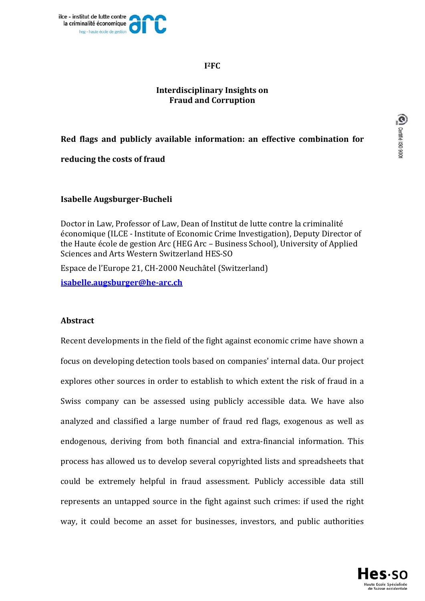

## **I2FC**

# **Interdisciplinary** Insights on **Fraud and Corruption**

# **Red flags and publicly available information: an effective combination for**

**reducing the costs of fraud**

# **Isabelle Augsburger‐Bucheli**

Doctor in Law, Professor of Law, Dean of Institut de lutte contre la criminalité économique (ILCE - Institute of Economic Crime Investigation), Deputy Director of the Haute école de gestion Arc (HEG Arc – Business School), University of Applied Sciences and Arts Western Switzerland HES-SO

Espace de l'Europe 21, CH-2000 Neuchâtel (Switzerland)

**isabelle.augsburger@he‐arc.ch** 

## **Abstract**

Recent developments in the field of the fight against economic crime have shown a focus on developing detection tools based on companies' internal data. Our project explores other sources in order to establish to which extent the risk of fraud in a Swiss company can be assessed using publicly accessible data. We have also analyzed and classified a large number of fraud red flags, exogenous as well as endogenous, deriving from both financial and extra-financial information. This process has allowed us to develop several copyrighted lists and spreadsheets that could be extremely helpful in fraud assessment. Publicly accessible data still represents an untapped source in the fight against such crimes: if used the right way, it could become an asset for businesses, investors, and public authorities

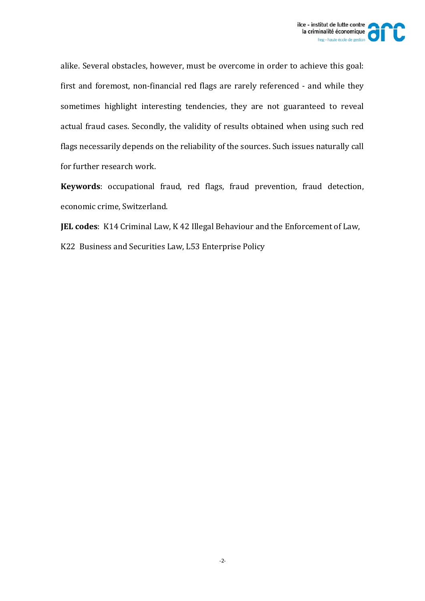

alike. Several obstacles, however, must be overcome in order to achieve this goal: first and foremost, non-financial red flags are rarely referenced - and while they sometimes highlight interesting tendencies, they are not guaranteed to reveal actual fraud cases. Secondly, the validity of results obtained when using such red flags necessarily depends on the reliability of the sources. Such issues naturally call for further research work.

**Keywords**: occupational fraud, red flags, fraud prevention, fraud detection, economic crime, Switzerland.

**JEL codes**: K14 Criminal Law, K 42 Illegal Behaviour and the Enforcement of Law,

K22 Business and Securities Law, L53 Enterprise Policy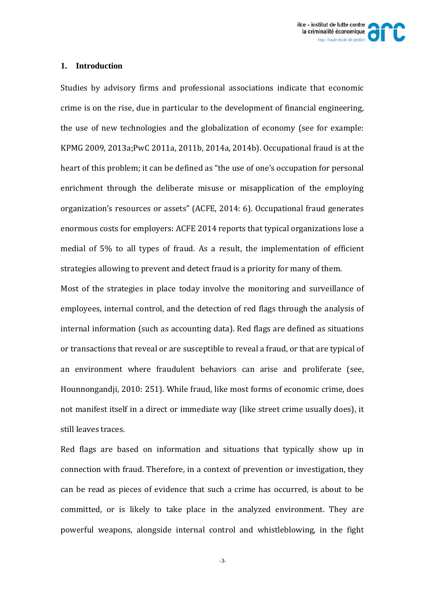

#### **1. Introduction**

Studies by advisory firms and professional associations indicate that economic crime is on the rise, due in particular to the development of financial engineering, the use of new technologies and the globalization of economy (see for example: KPMG 2009, 2013a;PwC 2011a, 2011b, 2014a, 2014b). Occupational fraud is at the heart of this problem; it can be defined as "the use of one's occupation for personal enrichment through the deliberate misuse or misapplication of the employing organization's resources or assets" (ACFE, 2014: 6). Occupational fraud generates enormous costs for employers: ACFE 2014 reports that typical organizations lose a medial of 5% to all types of fraud. As a result, the implementation of efficient strategies allowing to prevent and detect fraud is a priority for many of them.

Most of the strategies in place today involve the monitoring and surveillance of employees, internal control, and the detection of red flags through the analysis of internal information (such as accounting data). Red flags are defined as situations or transactions that reveal or are susceptible to reveal a fraud, or that are typical of an environment where fraudulent behaviors can arise and proliferate (see, Hounnongandji, 2010: 251). While fraud, like most forms of economic crime, does not manifest itself in a direct or immediate way (like street crime usually does), it still leaves traces.

Red flags are based on information and situations that typically show up in connection with fraud. Therefore, in a context of prevention or investigation, they can be read as pieces of evidence that such a crime has occurred, is about to be committed, or is likely to take place in the analyzed environment. They are powerful weapons, alongside internal control and whistleblowing, in the fight

-3-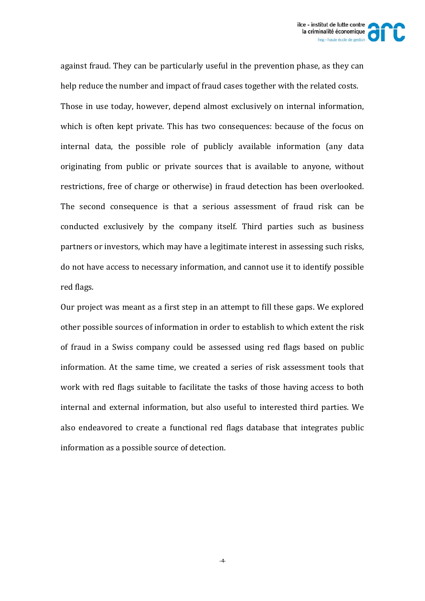

against fraud. They can be particularly useful in the prevention phase, as they can help reduce the number and impact of fraud cases together with the related costs. Those in use today, however, depend almost exclusively on internal information, which is often kept private. This has two consequences: because of the focus on internal data, the possible role of publicly available information (any data originating from public or private sources that is available to anyone, without restrictions, free of charge or otherwise) in fraud detection has been overlooked. The second consequence is that a serious assessment of fraud risk can be conducted exclusively by the company itself. Third parties such as business partners or investors, which may have a legitimate interest in assessing such risks, do not have access to necessary information, and cannot use it to identify possible red flags.

Our project was meant as a first step in an attempt to fill these gaps. We explored other possible sources of information in order to establish to which extent the risk of fraud in a Swiss company could be assessed using red flags based on public information. At the same time, we created a series of risk assessment tools that work with red flags suitable to facilitate the tasks of those having access to both internal and external information, but also useful to interested third parties. We also endeavored to create a functional red flags database that integrates public information as a possible source of detection.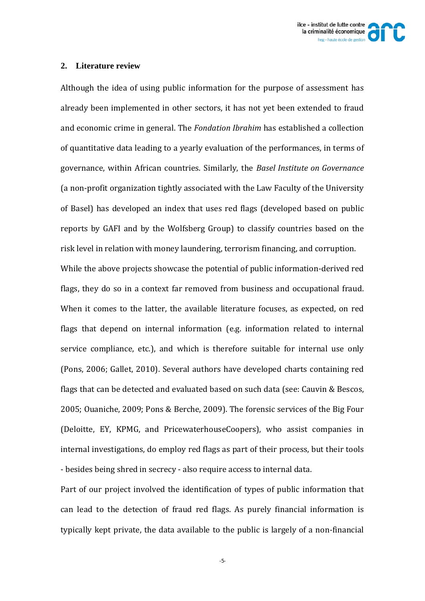

#### **2. Literature review**

Although the idea of using public information for the purpose of assessment has already been implemented in other sectors, it has not yet been extended to fraud and economic crime in general. The *Fondation Ibrahim* has established a collection of quantitative data leading to a yearly evaluation of the performances, in terms of governance, within African countries. Similarly, the *Basel Institute on Governance* (a non-profit organization tightly associated with the Law Faculty of the University of Basel) has developed an index that uses red flags (developed based on public reports by GAFI and by the Wolfsberg Group) to classify countries based on the risk level in relation with money laundering, terrorism financing, and corruption. While the above projects showcase the potential of public information-derived red flags, they do so in a context far removed from business and occupational fraud. When it comes to the latter, the available literature focuses, as expected, on red flags that depend on internal information (e.g. information related to internal service compliance, etc.), and which is therefore suitable for internal use only (Pons, 2006; Gallet, 2010). Several authors have developed charts containing red flags that can be detected and evaluated based on such data (see: Cauvin & Bescos, 2005; Ouaniche, 2009; Pons & Berche, 2009). The forensic services of the Big Four (Deloitte, EY, KPMG, and PricewaterhouseCoopers), who assist companies in internal investigations, do employ red flags as part of their process, but their tools - besides being shred in secrecy - also require access to internal data.

Part of our project involved the identification of types of public information that can lead to the detection of fraud red flags. As purely financial information is typically kept private, the data available to the public is largely of a non-financial

-5-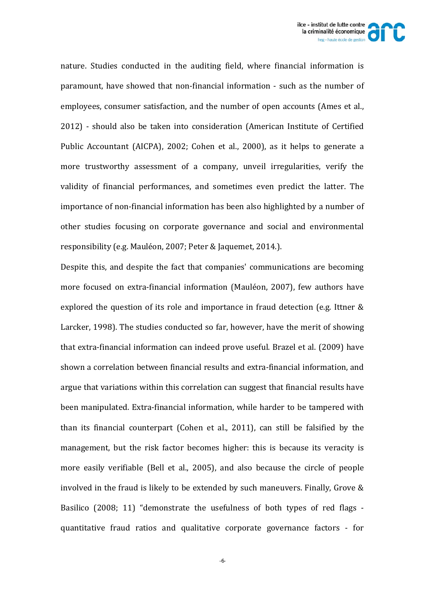

nature. Studies conducted in the auditing field, where financial information is paramount, have showed that non-financial information - such as the number of employees, consumer satisfaction, and the number of open accounts (Ames et al., 2012) - should also be taken into consideration (American Institute of Certified Public Accountant (AICPA), 2002; Cohen et al., 2000), as it helps to generate a more trustworthy assessment of a company, unveil irregularities, verify the validity of financial performances, and sometimes even predict the latter. The importance of non-financial information has been also highlighted by a number of other studies focusing on corporate governance and social and environmental responsibility (e.g. Mauléon, 2007; Peter & Jaquemet, 2014.).

Despite this, and despite the fact that companies' communications are becoming more focused on extra-financial information (Mauléon, 2007), few authors have explored the question of its role and importance in fraud detection (e.g. Ittner  $&$ Larcker, 1998). The studies conducted so far, however, have the merit of showing that extra-financial information can indeed prove useful. Brazel et al. (2009) have shown a correlation between financial results and extra-financial information, and argue that variations within this correlation can suggest that financial results have been manipulated. Extra-financial information, while harder to be tampered with than its financial counterpart (Cohen et al.,  $2011$ ), can still be falsified by the management, but the risk factor becomes higher: this is because its veracity is more easily verifiable (Bell et al., 2005), and also because the circle of people involved in the fraud is likely to be extended by such maneuvers. Finally, Grove  $\&$ Basilico (2008; 11) "demonstrate the usefulness of both types of red flags quantitative fraud ratios and qualitative corporate governance factors - for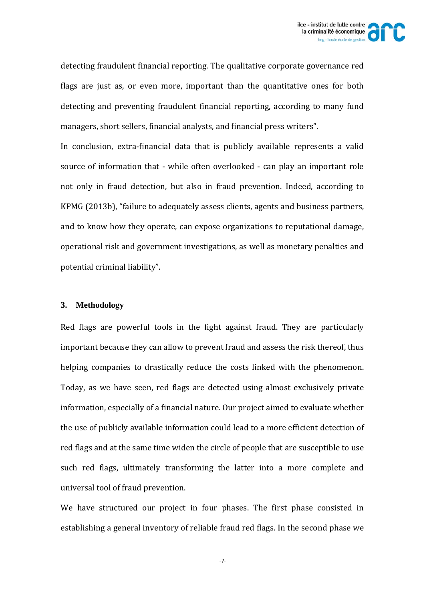

detecting fraudulent financial reporting. The qualitative corporate governance red flags are just as, or even more, important than the quantitative ones for both detecting and preventing fraudulent financial reporting, according to many fund managers, short sellers, financial analysts, and financial press writers".

In conclusion, extra-financial data that is publicly available represents a valid source of information that - while often overlooked - can play an important role not only in fraud detection, but also in fraud prevention. Indeed, according to KPMG (2013b), "failure to adequately assess clients, agents and business partners, and to know how they operate, can expose organizations to reputational damage, operational risk and government investigations, as well as monetary penalties and potential criminal liability".

#### **3. Methodology**

Red flags are powerful tools in the fight against fraud. They are particularly important because they can allow to prevent fraud and assess the risk thereof, thus helping companies to drastically reduce the costs linked with the phenomenon. Today, as we have seen, red flags are detected using almost exclusively private information, especially of a financial nature. Our project aimed to evaluate whether the use of publicly available information could lead to a more efficient detection of red flags and at the same time widen the circle of people that are susceptible to use such red flags, ultimately transforming the latter into a more complete and universal tool of fraud prevention.

We have structured our project in four phases. The first phase consisted in establishing a general inventory of reliable fraud red flags. In the second phase we

-7-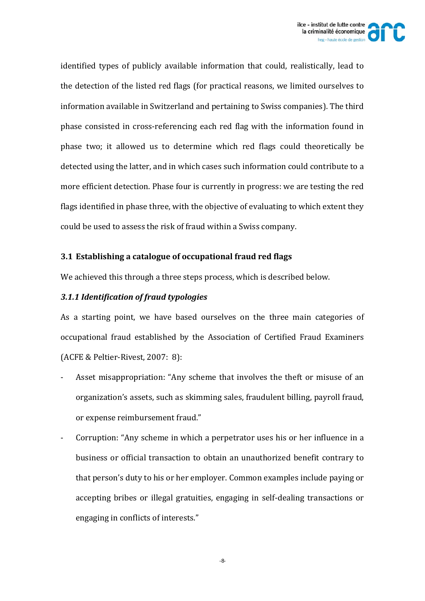

identified types of publicly available information that could, realistically, lead to the detection of the listed red flags (for practical reasons, we limited ourselves to information available in Switzerland and pertaining to Swiss companies). The third phase consisted in cross-referencing each red flag with the information found in phase two; it allowed us to determine which red flags could theoretically be detected using the latter, and in which cases such information could contribute to a more efficient detection. Phase four is currently in progress: we are testing the red flags identified in phase three, with the objective of evaluating to which extent they could be used to assess the risk of fraud within a Swiss company.

# **3.1 Establishing a catalogue of occupational fraud red flags**

We achieved this through a three steps process, which is described below.

# *3.1.1 Identification of fraud typologies*

As a starting point, we have based ourselves on the three main categories of occupational fraud established by the Association of Certified Fraud Examiners (ACFE & Peltier-Rivest, 2007: 8):

- Asset misappropriation: "Any scheme that involves the theft or misuse of an organization's assets, such as skimming sales, fraudulent billing, payroll fraud, or expense reimbursement fraud."
- Corruption: "Any scheme in which a perpetrator uses his or her influence in a business or official transaction to obtain an unauthorized benefit contrary to that person's duty to his or her employer. Common examples include paying or accepting bribes or illegal gratuities, engaging in self-dealing transactions or engaging in conflicts of interests."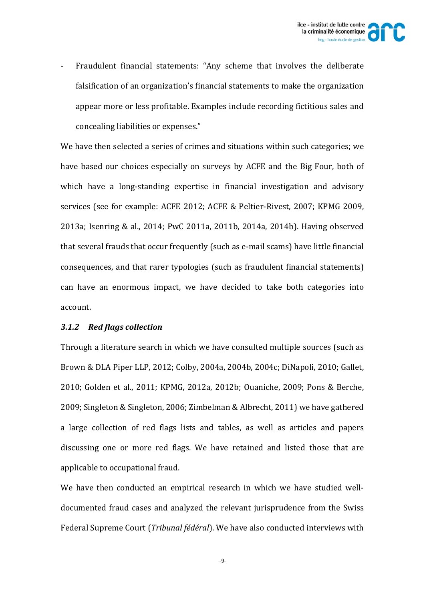Fraudulent financial statements: "Any scheme that involves the deliberate falsification of an organization's financial statements to make the organization appear more or less profitable. Examples include recording fictitious sales and concealing liabilities or expenses."

We have then selected a series of crimes and situations within such categories; we have based our choices especially on surveys by ACFE and the Big Four, both of which have a long-standing expertise in financial investigation and advisory services (see for example: ACFE 2012; ACFE & Peltier-Rivest, 2007; KPMG 2009, 2013a; Isenring & al., 2014; PwC 2011a, 2011b, 2014a, 2014b). Having observed that several frauds that occur frequently (such as e-mail scams) have little financial consequences, and that rarer typologies (such as fraudulent financial statements) can have an enormous impact, we have decided to take both categories into account. 

# *3.1.2 Red flags collection*

Through a literature search in which we have consulted multiple sources (such as Brown & DLA Piper LLP, 2012; Colby, 2004a, 2004b, 2004c; DiNapoli, 2010; Gallet, 2010; Golden et al., 2011; KPMG, 2012a, 2012b; Ouaniche, 2009; Pons & Berche, 2009; Singleton & Singleton, 2006; Zimbelman & Albrecht, 2011) we have gathered a large collection of red flags lists and tables, as well as articles and papers discussing one or more red flags. We have retained and listed those that are applicable to occupational fraud.

We have then conducted an empirical research in which we have studied welldocumented fraud cases and analyzed the relevant jurisprudence from the Swiss Federal Supreme Court (*Tribunal fédéral*). We have also conducted interviews with

-9-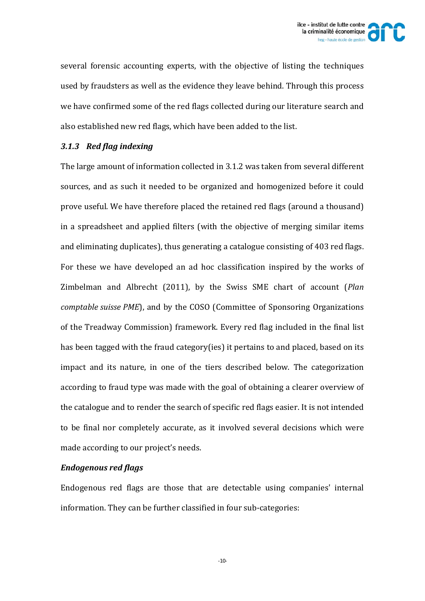

several forensic accounting experts, with the objective of listing the techniques used by fraudsters as well as the evidence they leave behind. Through this process we have confirmed some of the red flags collected during our literature search and also established new red flags, which have been added to the list.

# *3.1.3 Red flag indexing*

The large amount of information collected in 3.1.2 was taken from several different sources, and as such it needed to be organized and homogenized before it could prove useful. We have therefore placed the retained red flags (around a thousand) in a spreadsheet and applied filters (with the objective of merging similar items and eliminating duplicates), thus generating a catalogue consisting of  $403$  red flags. For these we have developed an ad hoc classification inspired by the works of Zimbelman and Albrecht (2011), by the Swiss SME chart of account (*Plan comptable suisse PME*), and by the COSO (Committee of Sponsoring Organizations of the Treadway Commission) framework. Every red flag included in the final list has been tagged with the fraud category(ies) it pertains to and placed, based on its impact and its nature, in one of the tiers described below. The categorization according to fraud type was made with the goal of obtaining a clearer overview of the catalogue and to render the search of specific red flags easier. It is not intended to be final nor completely accurate, as it involved several decisions which were made according to our project's needs.

## *Endogenous red flags*

Endogenous red flags are those that are detectable using companies' internal information. They can be further classified in four sub-categories: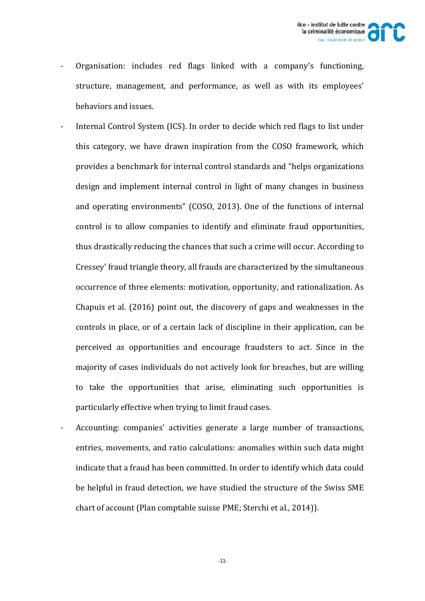- Organisation: includes red flags linked with a company's functioning, structure, management, and performance, as well as with its employees' behaviors and issues.
- Internal Control System (ICS). In order to decide which red flags to list under this category, we have drawn inspiration from the COSO framework, which provides a benchmark for internal control standards and "helps organizations" design and implement internal control in light of many changes in business and operating environments" (COSO, 2013). One of the functions of internal control is to allow companies to identify and eliminate fraud opportunities, thus drastically reducing the chances that such a crime will occur. According to Cressey' fraud triangle theory, all frauds are characterized by the simultaneous occurrence of three elements: motivation, opportunity, and rationalization. As Chapuis et al.  $(2016)$  point out, the discovery of gaps and weaknesses in the controls in place, or of a certain lack of discipline in their application, can be perceived as opportunities and encourage fraudsters to act. Since in the majority of cases individuals do not actively look for breaches, but are willing to take the opportunities that arise, eliminating such opportunities is particularly effective when trying to limit fraud cases.
- Accounting: companies' activities generate a large number of transactions, entries, movements, and ratio calculations: anomalies within such data might indicate that a fraud has been committed. In order to identify which data could be helpful in fraud detection, we have studied the structure of the Swiss SME chart of account (Plan comptable suisse PME; Sterchi et al., 2014)).

-11-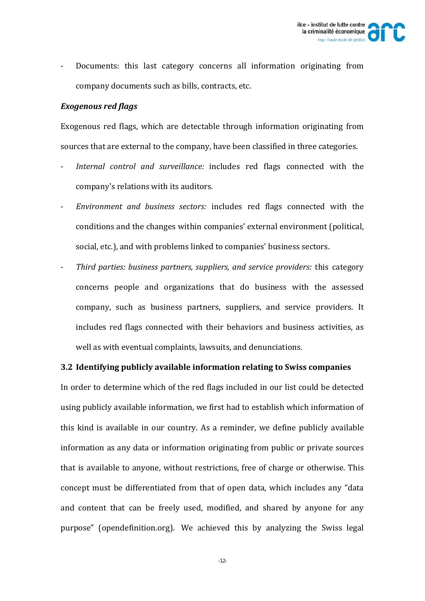Documents: this last category concerns all information originating from company documents such as bills, contracts, etc.

## *Exogenous red flags*

Exogenous red flags, which are detectable through information originating from sources that are external to the company, have been classified in three categories.

- Internal control and surveillance: includes red flags connected with the company's relations with its auditors.
- ‐ *Environment and business sectors:* includes red flags connected with the conditions and the changes within companies' external environment (political, social, etc.), and with problems linked to companies' business sectors.
- ‐ *Third parties: business partners, suppliers, and service providers:* this category concerns people and organizations that do business with the assessed company, such as business partners, suppliers, and service providers. It includes red flags connected with their behaviors and business activities, as well as with eventual complaints, lawsuits, and denunciations.

## **3.2 Identifying publicly available information relating to Swiss companies**

In order to determine which of the red flags included in our list could be detected using publicly available information, we first had to establish which information of this kind is available in our country. As a reminder, we define publicly available information as any data or information originating from public or private sources that is available to anyone, without restrictions, free of charge or otherwise. This concept must be differentiated from that of open data, which includes any "data and content that can be freely used, modified, and shared by anyone for any purpose" (opendefinition.org). We achieved this by analyzing the Swiss legal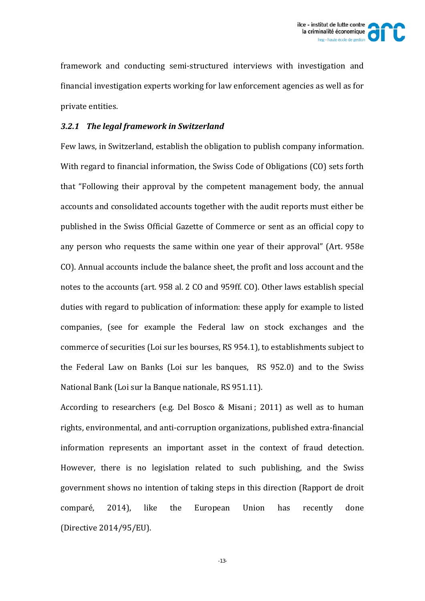

framework and conducting semi-structured interviews with investigation and financial investigation experts working for law enforcement agencies as well as for private entities.

## *3.2.1 The legal framework in Switzerland*

Few laws, in Switzerland, establish the obligation to publish company information. With regard to financial information, the Swiss Code of Obligations (CO) sets forth that "Following their approval by the competent management body, the annual accounts and consolidated accounts together with the audit reports must either be published in the Swiss Official Gazette of Commerce or sent as an official copy to any person who requests the same within one vear of their approval" (Art. 958e) CO). Annual accounts include the balance sheet, the profit and loss account and the notes to the accounts (art. 958 al. 2 CO and 959ff. CO). Other laws establish special duties with regard to publication of information: these apply for example to listed companies, (see for example the Federal law on stock exchanges and the commerce of securities (Loi sur les bourses, RS 954.1), to establishments subject to the Federal Law on Banks (Loi sur les banques,  $\overline{RS}$  952.0) and to the Swiss National Bank (Loi sur la Banque nationale, RS 951.11).

According to researchers (e.g. Del Bosco & Misani; 2011) as well as to human rights, environmental, and anti-corruption organizations, published extra-financial information represents an important asset in the context of fraud detection. However, there is no legislation related to such publishing, and the Swiss government shows no intention of taking steps in this direction (Rapport de droit comparé, 2014), like the European Union has recently done (Directive 2014/95/EU).

-13-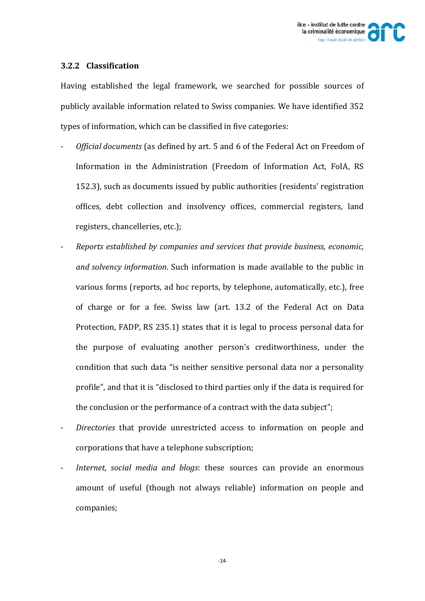## **3.2.2 Classification**

Having established the legal framework, we searched for possible sources of publicly available information related to Swiss companies. We have identified 352 types of information, which can be classified in five categories:

- *Official documents* (as defined by art. 5 and 6 of the Federal Act on Freedom of Information in the Administration (Freedom of Information Act, FoIA, RS 152.3), such as documents issued by public authorities (residents' registration offices, debt collection and insolvency offices, commercial registers, land registers, chancelleries, etc.);
- ‐ *Reports established by companies and services that provide business, economic, and solvency information*. Such information is made available to the public in various forms (reports, ad hoc reports, by telephone, automatically, etc.), free of charge or for a fee. Swiss law (art. 13.2 of the Federal Act on Data Protection, FADP, RS 235.1) states that it is legal to process personal data for the purpose of evaluating another person's creditworthiness, under the condition that such data "is neither sensitive personal data nor a personality profile", and that it is "disclosed to third parties only if the data is required for the conclusion or the performance of a contract with the data subject";
- Directories that provide unrestricted access to information on people and corporations that have a telephone subscription;
- ‐ *Internet, social media and blogs*: these sources can provide an enormous amount of useful (though not always reliable) information on people and companies;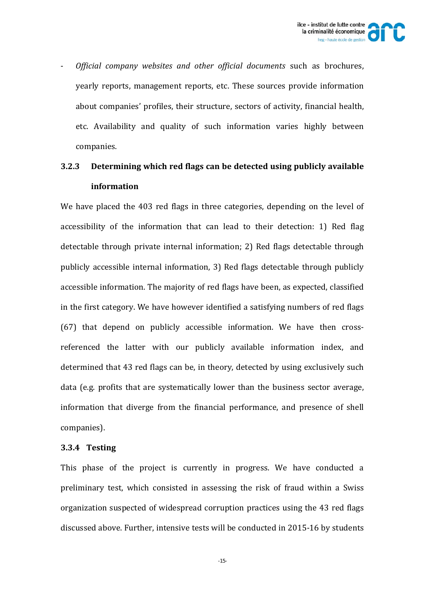

‐ *Official company websites and other official documents* such as brochures, yearly reports, management reports, etc. These sources provide information about companies' profiles, their structure, sectors of activity, financial health, etc. Availability and quality of such information varies highly between companies. 

# **3.2.3 Determining which red flags can be detected using publicly available information**

We have placed the 403 red flags in three categories, depending on the level of accessibility of the information that can lead to their detection: 1) Red flag detectable through private internal information: 2) Red flags detectable through publicly accessible internal information, 3) Red flags detectable through publicly accessible information. The majority of red flags have been, as expected, classified in the first category. We have however identified a satisfying numbers of red flags  $(67)$  that depend on publicly accessible information. We have then crossreferenced the latter with our publicly available information index, and determined that 43 red flags can be, in theory, detected by using exclusively such data (e.g. profits that are systematically lower than the business sector average, information that diverge from the financial performance, and presence of shell companies). 

#### **3.3.4 Testing**

This phase of the project is currently in progress. We have conducted a preliminary test, which consisted in assessing the risk of fraud within a Swiss organization suspected of widespread corruption practices using the 43 red flags discussed above. Further, intensive tests will be conducted in 2015-16 by students

-15-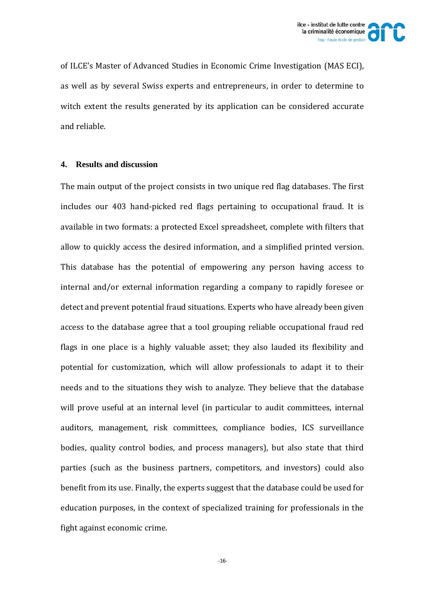

of ILCE's Master of Advanced Studies in Economic Crime Investigation (MAS ECI), as well as by several Swiss experts and entrepreneurs, in order to determine to witch extent the results generated by its application can be considered accurate and reliable.

### **4. Results and discussion**

The main output of the project consists in two unique red flag databases. The first includes our 403 hand-picked red flags pertaining to occupational fraud. It is available in two formats: a protected Excel spreadsheet, complete with filters that allow to quickly access the desired information, and a simplified printed version. This database has the potential of empowering any person having access to internal and/or external information regarding a company to rapidly foresee or detect and prevent potential fraud situations. Experts who have already been given access to the database agree that a tool grouping reliable occupational fraud red flags in one place is a highly valuable asset; they also lauded its flexibility and potential for customization, which will allow professionals to adapt it to their needs and to the situations they wish to analyze. They believe that the database will prove useful at an internal level (in particular to audit committees, internal auditors, management, risk committees, compliance bodies, ICS surveillance bodies, quality control bodies, and process managers), but also state that third parties (such as the business partners, competitors, and investors) could also benefit from its use. Finally, the experts suggest that the database could be used for education purposes, in the context of specialized training for professionals in the fight against economic crime.

-16-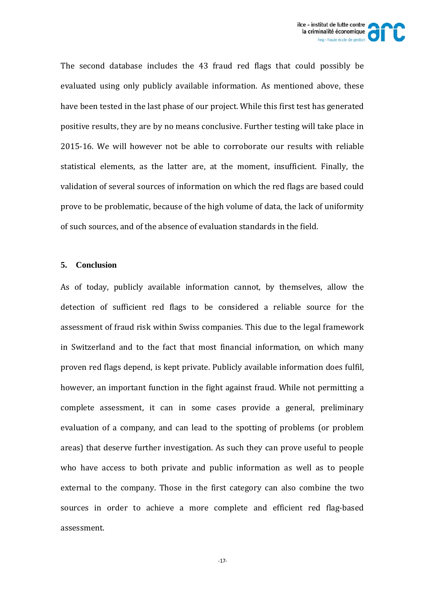

The second database includes the 43 fraud red flags that could possibly be evaluated using only publicly available information. As mentioned above, these have been tested in the last phase of our project. While this first test has generated positive results, they are by no means conclusive. Further testing will take place in 2015-16. We will however not be able to corroborate our results with reliable statistical elements, as the latter are, at the moment, insufficient. Finally, the validation of several sources of information on which the red flags are based could prove to be problematic, because of the high volume of data, the lack of uniformity of such sources, and of the absence of evaluation standards in the field.

### **5. Conclusion**

As of today, publicly available information cannot, by themselves, allow the detection of sufficient red flags to be considered a reliable source for the assessment of fraud risk within Swiss companies. This due to the legal framework in Switzerland and to the fact that most financial information, on which many proven red flags depend, is kept private. Publicly available information does fulfil, however, an important function in the fight against fraud. While not permitting a complete assessment, it can in some cases provide a general, preliminary evaluation of a company, and can lead to the spotting of problems (or problem areas) that deserve further investigation. As such they can prove useful to people who have access to both private and public information as well as to people external to the company. Those in the first category can also combine the two sources in order to achieve a more complete and efficient red flag-based assessment.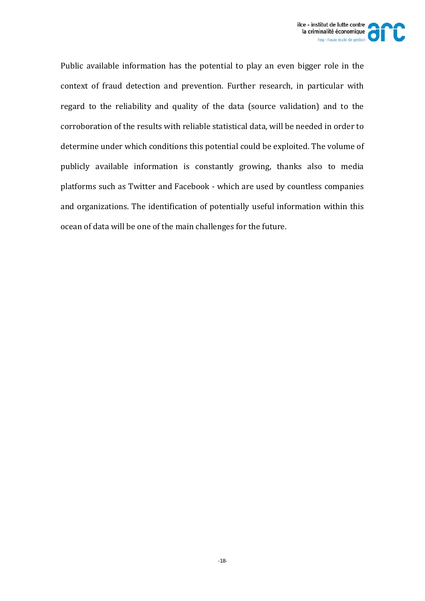

Public available information has the potential to play an even bigger role in the context of fraud detection and prevention. Further research, in particular with regard to the reliability and quality of the data (source validation) and to the corroboration of the results with reliable statistical data, will be needed in order to determine under which conditions this potential could be exploited. The volume of publicly available information is constantly growing, thanks also to media platforms such as Twitter and Facebook - which are used by countless companies and organizations. The identification of potentially useful information within this ocean of data will be one of the main challenges for the future.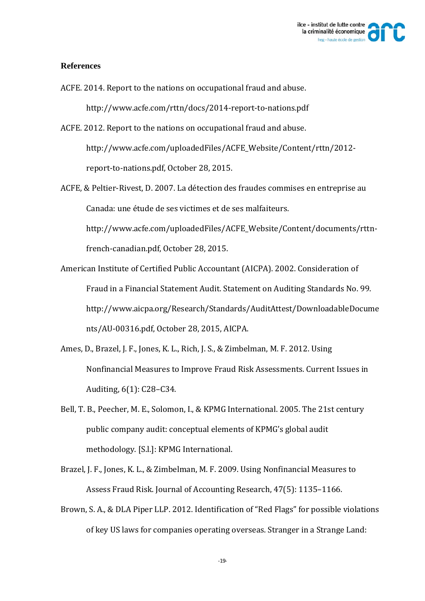

#### **References**

ACFE. 2014. Report to the nations on occupational fraud and abuse.

http://www.acfe.com/rttn/docs/2014‐report‐to‐nations.pdf 

ACFE. 2012. Report to the nations on occupational fraud and abuse. http://www.acfe.com/uploadedFiles/ACFE\_Website/Content/rttn/2012report-to-nations.pdf, October 28, 2015.

ACFE, & Peltier-Rivest, D. 2007. La détection des fraudes commises en entreprise au Canada: une étude de ses victimes et de ses malfaiteurs.

http://www.acfe.com/uploadedFiles/ACFE\_Website/Content/documents/rttn‐ french-canadian.pdf, October 28, 2015.

- American Institute of Certified Public Accountant (AICPA). 2002. Consideration of Fraud in a Financial Statement Audit. Statement on Auditing Standards No. 99. http://www.aicpa.org/Research/Standards/AuditAttest/DownloadableDocume nts/AU-00316.pdf, October 28, 2015, AICPA.
- Ames, D., Brazel, J. F., Jones, K. L., Rich, J. S., & Zimbelman, M. F. 2012. Using Nonfinancial Measures to Improve Fraud Risk Assessments. Current Issues in Auditing, 6(1): C28-C34.
- Bell, T. B., Peecher, M. E., Solomon, I., & KPMG International. 2005. The 21st century public company audit: conceptual elements of KPMG's global audit methodology. [S.l.]: KPMG International.
- Brazel, J. F., Jones, K. L., & Zimbelman, M. F. 2009. Using Nonfinancial Measures to Assess Fraud Risk. Journal of Accounting Research, 47(5): 1135-1166.
- Brown, S. A., & DLA Piper LLP. 2012. Identification of "Red Flags" for possible violations of key US laws for companies operating overseas. Stranger in a Strange Land: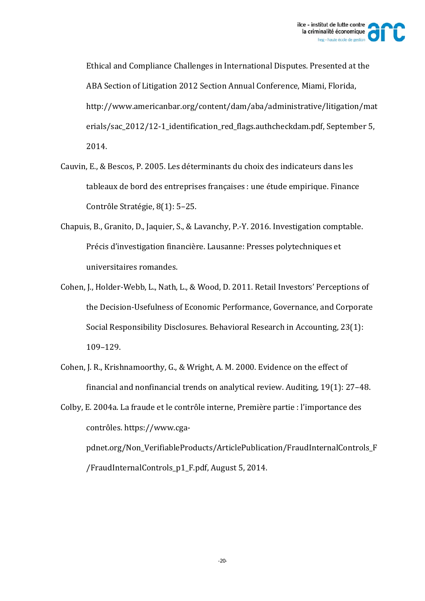

Ethical and Compliance Challenges in International Disputes. Presented at the ABA Section of Litigation 2012 Section Annual Conference, Miami, Florida, http://www.americanbar.org/content/dam/aba/administrative/litigation/mat erials/sac\_2012/12-1\_identification\_red\_flags.authcheckdam.pdf, September 5, 2014. 

- Cauvin, E., & Bescos, P. 2005. Les déterminants du choix des indicateurs dans les tableaux de bord des entreprises françaises : une étude empirique. Finance Contrôle Stratégie, 8(1): 5-25.
- Chapuis, B., Granito, D., Jaquier, S., & Lavanchy, P.-Y. 2016. Investigation comptable. Précis d'investigation financière. Lausanne: Presses polytechniques et universitaires romandes.
- Cohen, J., Holder-Webb, L., Nath, L., & Wood, D. 2011. Retail Investors' Perceptions of the Decision-Usefulness of Economic Performance, Governance, and Corporate Social Responsibility Disclosures. Behavioral Research in Accounting, 23(1): 109–129.
- Cohen, J. R., Krishnamoorthy, G., & Wright, A. M. 2000. Evidence on the effect of financial and nonfinancial trends on analytical review. Auditing,  $19(1)$ : 27-48.
- Colby, E. 2004a. La fraude et le contrôle interne, Première partie : l'importance des contrôles. https://www.cga-

pdnet.org/Non\_VerifiableProducts/ArticlePublication/FraudInternalControls\_F /FraudInternalControls\_p1\_F.pdf, August 5, 2014.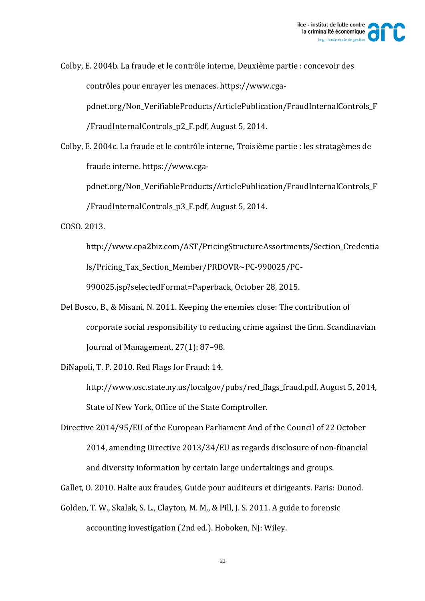

Colby, E. 2004b. La fraude et le contrôle interne, Deuxième partie : concevoir des contrôles pour enrayer les menaces. https://www.cgapdnet.org/Non\_VerifiableProducts/ArticlePublication/FraudInternalControls\_F /FraudInternalControls\_p2\_F.pdf, August 5, 2014.

Colby, E. 2004c. La fraude et le contrôle interne, Troisième partie : les stratagèmes de fraude interne. https://www.cga-

pdnet.org/Non\_VerifiableProducts/ArticlePublication/FraudInternalControls\_F /FraudInternalControls\_p3\_F.pdf, August 5, 2014. 

COSO. 2013. 

http://www.cpa2biz.com/AST/PricingStructureAssortments/Section\_Credentia ls/Pricing\_Tax\_Section\_Member/PRDOVR~PC‐990025/PC‐

990025.jsp?selectedFormat=Paperback, October 28, 2015.

Del Bosco, B., & Misani, N. 2011. Keeping the enemies close: The contribution of corporate social responsibility to reducing crime against the firm. Scandinavian Journal of Management, 27(1): 87-98.

DiNapoli, T. P. 2010. Red Flags for Fraud: 14.

http://www.osc.state.ny.us/localgov/pubs/red flags fraud.pdf, August 5, 2014, State of New York, Office of the State Comptroller.

Directive 2014/95/EU of the European Parliament And of the Council of 22 October 2014, amending Directive 2013/34/EU as regards disclosure of non-financial and diversity information by certain large undertakings and groups.

Gallet, O. 2010. Halte aux fraudes, Guide pour auditeurs et dirigeants. Paris: Dunod.

Golden, T. W., Skalak, S. L., Clayton, M. M., & Pill, J. S. 2011. A guide to forensic accounting investigation (2nd ed.). Hoboken, NJ: Wiley.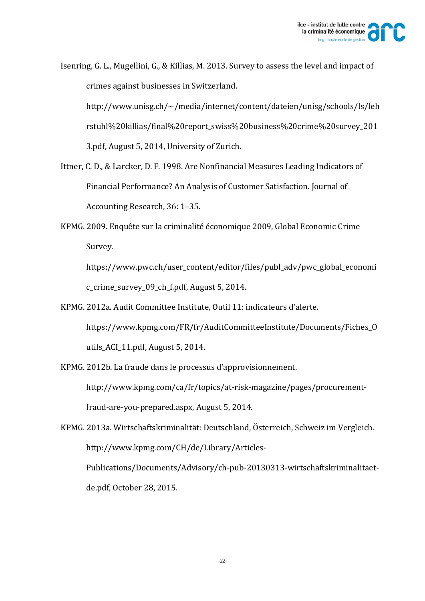

Isenring, G. L., Mugellini, G., & Killias, M. 2013. Survey to assess the level and impact of crimes against businesses in Switzerland. http://www.unisg.ch/~/media/internet/content/dateien/unisg/schools/ls/leh rstuhl%20killias/final%20report\_swiss%20business%20crime%20survey\_201 3.pdf, August 5, 2014, University of Zurich.

- Ittner, C. D., & Larcker, D. F. 1998. Are Nonfinancial Measures Leading Indicators of Financial Performance? An Analysis of Customer Satisfaction. Journal of Accounting Research, 36: 1-35.
- KPMG. 2009. Enquête sur la criminalité économique 2009, Global Economic Crime Survey.

https://www.pwc.ch/user\_content/editor/files/publ\_adv/pwc\_global\_economi c\_crime\_survey\_09\_ch\_f.pdf, August 5, 2014.

KPMG. 2012a. Audit Committee Institute, Outil 11: indicateurs d'alerte. https://www.kpmg.com/FR/fr/AuditCommitteeInstitute/Documents/Fiches\_O utils\_ACI\_11.pdf, August  $5, 2014$ .

KPMG. 2012b. La fraude dans le processus d'approvisionnement. http://www.kpmg.com/ca/fr/topics/at‐risk‐magazine/pages/procurement‐ fraud-are-you-prepared.aspx, August 5, 2014.

KPMG. 2013a. Wirtschaftskriminalität: Deutschland, Österreich, Schweiz im Vergleich. http://www.kpmg.com/CH/de/Library/Articles‐ Publications/Documents/Advisory/ch‐pub‐20130313‐wirtschaftskriminalitaet‐ de.pdf, October 28, 2015.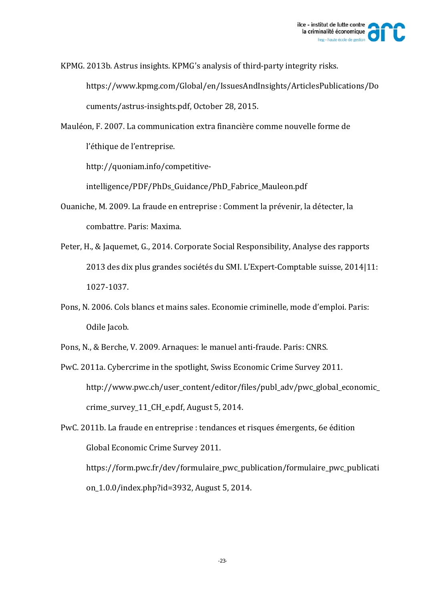

KPMG. 2013b. Astrus insights. KPMG's analysis of third-party integrity risks. https://www.kpmg.com/Global/en/IssuesAndInsights/ArticlesPublications/Do cuments/astrus-insights.pdf, October 28, 2015.

Mauléon, F. 2007. La communication extra financière comme nouvelle forme de l'éthique de l'entreprise.

http://quoniam.info/competitive‐

intelligence/PDF/PhDs\_Guidance/PhD\_Fabrice\_Mauleon.pdf 

- Ouaniche, M. 2009. La fraude en entreprise : Comment la prévenir, la détecter, la combattre. Paris: Maxima.
- Peter, H., & Jaquemet, G., 2014. Corporate Social Responsibility, Analyse des rapports 2013 des dix plus grandes sociétés du SMI. L'Expert-Comptable suisse, 2014|11: 1027‐1037.
- Pons, N. 2006. Cols blancs et mains sales. Economie criminelle, mode d'emploi. Paris: Odile Jacob.
- Pons, N., & Berche, V. 2009. Arnaques: le manuel anti-fraude. Paris: CNRS.
- PwC. 2011a. Cybercrime in the spotlight, Swiss Economic Crime Survey 2011. http://www.pwc.ch/user\_content/editor/files/publ\_adv/pwc\_global\_economic\_ crime\_survey\_11\_CH\_e.pdf, August 5, 2014.

PwC. 2011b. La fraude en entreprise : tendances et risques émergents, 6e édition Global Economic Crime Survey 2011. https://form.pwc.fr/dev/formulaire\_pwc\_publication/formulaire\_pwc\_publicati on 1.0.0/index.php?id=3932, August 5, 2014.